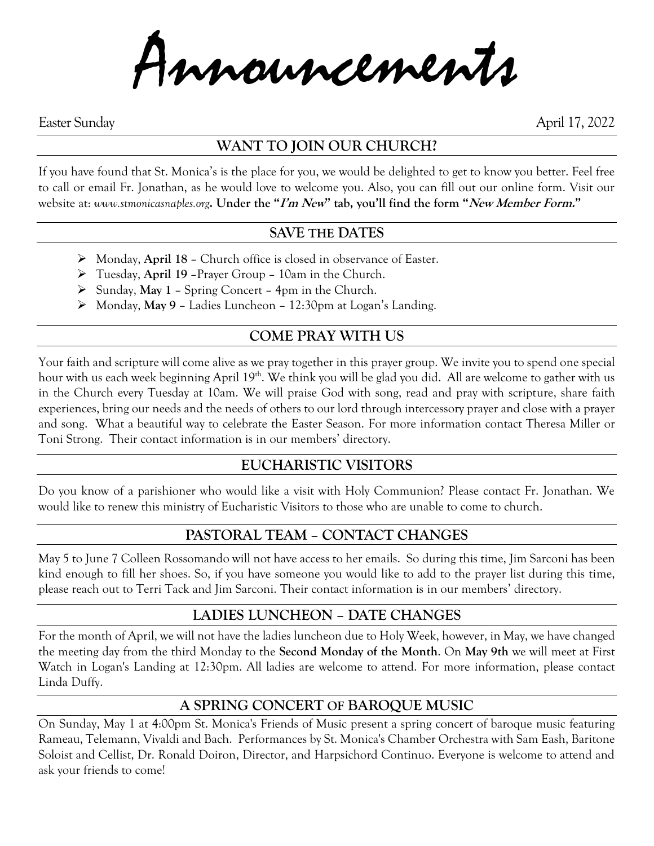Announcements

Easter Sunday April 17, 2022

# **WANT TO JOIN OUR CHURCH?**

If you have found that St. Monica's is the place for you, we would be delighted to get to know you better. Feel free to call or email Fr. Jonathan, as he would love to welcome you. Also, you can fill out our online form. Visit our website at: *www.stmonicasnaples.org***. Under the "I'm New" tab, you'll find the form "New Member Form."**

#### **SAVE THE DATES**

- ➢ Monday, **April 18** Church office is closed in observance of Easter.
- ➢ Tuesday, **April 19** –Prayer Group 10am in the Church.
- ➢ Sunday, **May 1** Spring Concert 4pm in the Church.
- ➢ Monday, **May 9** Ladies Luncheon 12:30pm at Logan's Landing.

## **COME PRAY WITH US**

Your faith and scripture will come alive as we pray together in this prayer group. We invite you to spend one special hour with us each week beginning April 19<sup>th</sup>. We think you will be glad you did. All are welcome to gather with us in the Church every Tuesday at 10am. We will praise God with song, read and pray with scripture, share faith experiences, bring our needs and the needs of others to our lord through intercessory prayer and close with a prayer and song. What a beautiful way to celebrate the Easter Season. For more information contact Theresa Miller or Toni Strong. Their contact information is in our members' directory.

#### **EUCHARISTIC VISITORS**

Do you know of a parishioner who would like a visit with Holy Communion? Please contact Fr. Jonathan. We would like to renew this ministry of Eucharistic Visitors to those who are unable to come to church.

### **PASTORAL TEAM – CONTACT CHANGES**

May 5 to June 7 Colleen Rossomando will not have access to her emails. So during this time, Jim Sarconi has been kind enough to fill her shoes. So, if you have someone you would like to add to the prayer list during this time, please reach out to Terri Tack and Jim Sarconi. Their contact information is in our members' directory.

### **LADIES LUNCHEON – DATE CHANGES**

For the month of April, we will not have the ladies luncheon due to Holy Week, however, in May, we have changed the meeting day from the third Monday to the **Second Monday of the Month**. On **May 9th** we will meet at First Watch in Logan's Landing at 12:30pm. All ladies are welcome to attend. For more information, please contact Linda Duffy.

### **A SPRING CONCERT OF BAROQUE MUSIC**

On Sunday, May 1 at 4:00pm St. Monica's Friends of Music present a spring concert of baroque music featuring Rameau, Telemann, Vivaldi and Bach. Performances by St. Monica's Chamber Orchestra with Sam Eash, Baritone Soloist and Cellist, Dr. Ronald Doiron, Director, and Harpsichord Continuo. Everyone is welcome to attend and ask your friends to come!